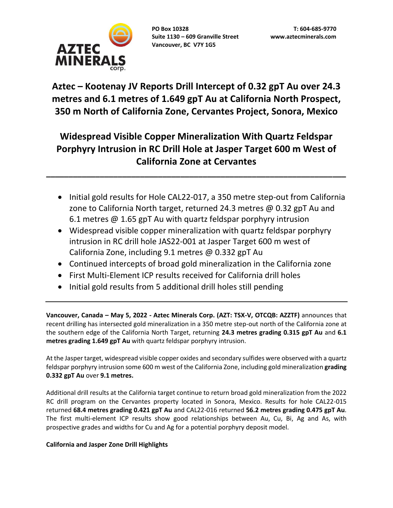

**PO Box 10328 T: 604-685-9770 Suite 1130 – 609 Granville Street www.aztecminerals.com Vancouver, BC V7Y 1G5**

## **Aztec – Kootenay JV Reports Drill Intercept of 0.32 gpT Au over 24.3 metres and 6.1 metres of 1.649 gpT Au at California North Prospect, 350 m North of California Zone, Cervantes Project, Sonora, Mexico**

# **Widespread Visible Copper Mineralization With Quartz Feldspar Porphyry Intrusion in RC Drill Hole at Jasper Target 600 m West of California Zone at Cervantes**

**\_\_\_\_\_\_\_\_\_\_\_\_\_\_\_\_\_\_\_\_\_\_\_\_\_\_\_\_\_\_\_\_\_\_\_\_\_\_\_\_\_\_\_\_\_\_\_\_\_\_\_\_\_\_\_\_\_\_\_\_\_\_\_\_\_\_\_**

- Initial gold results for Hole CAL22-017, a 350 metre step-out from California zone to California North target, returned 24.3 metres @ 0.32 gpT Au and 6.1 metres @ 1.65 gpT Au with quartz feldspar porphyry intrusion
- Widespread visible copper mineralization with quartz feldspar porphyry intrusion in RC drill hole JAS22-001 at Jasper Target 600 m west of California Zone, including 9.1 metres @ 0.332 gpT Au
- Continued intercepts of broad gold mineralization in the California zone
- First Multi-Element ICP results received for California drill holes
- Initial gold results from 5 additional drill holes still pending

**Vancouver, Canada – May 5, 2022 - Aztec Minerals Corp. (AZT: TSX-V, OTCQB: AZZTF)** announces that recent drilling has intersected gold mineralization in a 350 metre step-out north of the California zone at the southern edge of the California North Target, returning **24.3 metres grading 0.315 gpT Au** and **6.1 metres grading 1.649 gpT Au** with quartz feldspar porphyry intrusion.

At the Jasper target, widespread visible copper oxides and secondary sulfides were observed with a quartz feldspar porphyry intrusion some 600 m west of the California Zone, including gold mineralization **grading 0.332 gpT Au** over **9.1 metres.**

Additional drill results at the California target continue to return broad gold mineralization from the 2022 RC drill program on the Cervantes property located in Sonora, Mexico. Results for hole CAL22-015 returned **68.4 metres grading 0.421 gpT Au** and CAL22-016 returned **56.2 metres grading 0.475 gpT Au**. The first multi-element ICP results show good relationships between Au, Cu, Bi, Ag and As, with prospective grades and widths for Cu and Ag for a potential porphyry deposit model.

## **California and Jasper Zone Drill Highlights**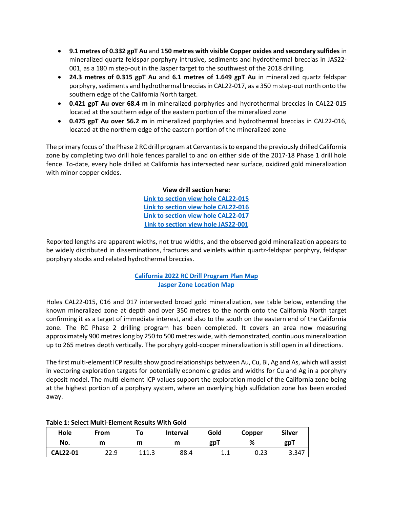- **9.1 metres of 0.332 gpT Au** and **150 metres with visible Copper oxides and secondary sulfides** in mineralized quartz feldspar porphyry intrusive, sediments and hydrothermal breccias in JAS22- 001, as a 180 m step-out in the Jasper target to the southwest of the 2018 drilling.
- **24.3 metres of 0.315 gpT Au** and **6.1 metres of 1.649 gpT Au** in mineralized quartz feldspar porphyry, sediments and hydrothermal breccias in CAL22-017, as a 350 m step-out north onto the southern edge of the California North target.
- **0.421 gpT Au over 68.4 m** in mineralized porphyries and hydrothermal breccias in CAL22-015 located at the southern edge of the eastern portion of the mineralized zone
- **0.475 gpT Au over 56.2 m** in mineralized porphyries and hydrothermal breccias in CAL22-016, located at the northern edge of the eastern portion of the mineralized zone

The primary focus of the Phase 2 RC drill program at Cervantes isto expand the previously drilled California zone by completing two drill hole fences parallel to and on either side of the 2017-18 Phase 1 drill hole fence. To-date, every hole drilled at California has intersected near surface, oxidized gold mineralization with minor copper oxides.

> **View drill section here: [Link to section view hole CAL22-015](https://www.aztecminerals.com/_resources/CAL22-15.pdf) [Link to section view hole CAL22-016](https://www.aztecminerals.com/_resources/CAL22-16.pdf) [Link to section view hole CAL22-017](https://www.aztecminerals.com/_resources/CAL22-17.pdf) [Link to section view hole JAS22-001](https://www.aztecminerals.com/_resources/news/JAR22-001.jpg)**

Reported lengths are apparent widths, not true widths, and the observed gold mineralization appears to be widely distributed in disseminations, fractures and veinlets within quartz-feldspar porphyry, feldspar porphyry stocks and related hydrothermal breccias.

## **[California 2022 RC Drill Program Plan Map](https://www.aztecminerals.com/_resources/5-MAD-CER-DRILLING.jpg) [Jasper Zone Location Map](https://www.aztecminerals.com/_resources/news/7-MAD-CER-DRILLING.jpg)**

Holes CAL22-015, 016 and 017 intersected broad gold mineralization, see table below, extending the known mineralized zone at depth and over 350 metres to the north onto the California North target confirming it as a target of immediate interest, and also to the south on the eastern end of the California zone. The RC Phase 2 drilling program has been completed. It covers an area now measuring approximately 900 metreslong by 250 to 500 metres wide, with demonstrated, continuous mineralization up to 265 metres depth vertically. The porphyry gold-copper mineralization is still open in all directions.

The first multi-element ICP results show good relationships between Au, Cu, Bi, Ag and As, which will assist in vectoring exploration targets for potentially economic grades and widths for Cu and Ag in a porphyry deposit model. The multi-element ICP values support the exploration model of the California zone being at the highest portion of a porphyry system, where an overlying high sulfidation zone has been eroded away.

### **Table 1: Select Multi-Element Results With Gold**

| Hole            | From | To    | Gold<br><b>Interval</b> |     | Copper | <b>Silver</b> |
|-----------------|------|-------|-------------------------|-----|--------|---------------|
| No.             | m    | m     | m                       | gp1 | ℅      | gp1           |
| <b>CAL22-01</b> | 22.9 | 111.3 | 88.4                    |     | 0.23   | 3.347         |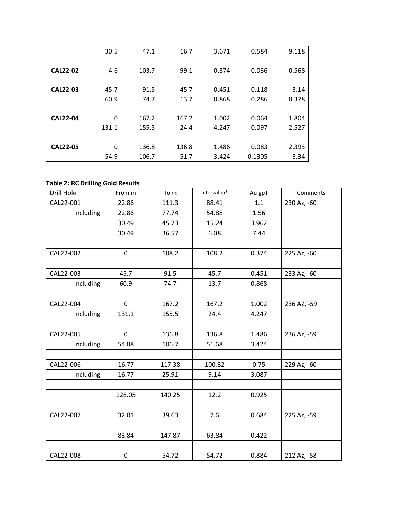|                 | 30.5  | 47.1  | 16.7  | 3.671 | 0.584  | 9.118 |
|-----------------|-------|-------|-------|-------|--------|-------|
| <b>CAL22-02</b> | 4.6   | 103.7 | 99.1  | 0.374 | 0.036  | 0.568 |
| <b>CAL22-03</b> | 45.7  | 91.5  | 45.7  | 0.451 | 0.118  | 3.14  |
|                 | 60.9  | 74.7  | 13.7  | 0.868 | 0.286  | 8.378 |
|                 |       |       |       |       |        |       |
| <b>CAL22-04</b> | 0     | 167.2 | 167.2 | 1.002 | 0.064  | 1.804 |
|                 | 131.1 | 155.5 | 24.4  | 4.247 | 0.097  | 2.527 |
|                 |       |       |       |       |        |       |
| <b>CAL22-05</b> | 0     | 136.8 | 136.8 | 1.486 | 0.083  | 2.393 |
|                 | 54.9  | 106.7 | 51.7  | 3.424 | 0.1305 | 3.34  |

## **Table 2: RC Drilling Gold Results**

| Drill Hole | From m      | To m   | Interval m* | Au gpT | Comments    |
|------------|-------------|--------|-------------|--------|-------------|
| CAL22-001  | 22.86       | 111.3  | 88.41       | 1.1    | 230 Az, -60 |
| Including  | 22.86       | 77.74  | 54.88       | 1.56   |             |
|            | 30.49       | 45.73  | 15.24       | 3.962  |             |
|            | 30.49       | 36.57  | 6.08        | 7.44   |             |
|            |             |        |             |        |             |
| CAL22-002  | 0           | 108.2  | 108.2       | 0.374  | 225 Az, -60 |
|            |             |        |             |        |             |
| CAL22-003  | 45.7        | 91.5   | 45.7        | 0.451  | 233 Az, -60 |
| Including  | 60.9        | 74.7   | 13.7        | 0.868  |             |
|            |             |        |             |        |             |
| CAL22-004  | $\mathbf 0$ | 167.2  | 167.2       | 1.002  | 236 AZ, -59 |
| Including  | 131.1       | 155.5  | 24.4        | 4.247  |             |
|            |             |        |             |        |             |
| CAL22-005  | $\mathbf 0$ | 136.8  | 136.8       | 1.486  | 236 Az, -59 |
| Including  | 54.88       | 106.7  | 51.68       | 3.424  |             |
|            |             |        |             |        |             |
| CAL22-006  | 16.77       | 117.38 | 100.32      | 0.75   | 229 Az, -60 |
| Including  | 16.77       | 25.91  | 9.14        | 3.087  |             |
|            |             |        |             |        |             |
|            | 128.05      | 140.25 | 12.2        | 0.925  |             |
|            |             |        |             |        |             |
| CAL22-007  | 32.01       | 39.63  | 7.6         | 0.684  | 225 Az, -59 |
|            |             |        |             |        |             |
|            | 83.84       | 147.87 | 63.84       | 0.422  |             |
|            |             |        |             |        |             |
| CAL22-008  | 0           | 54.72  | 54.72       | 0.884  | 212 Az, -58 |
|            |             |        |             |        |             |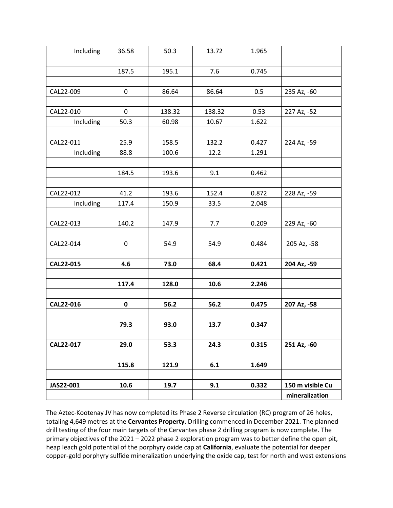| Including | 36.58 | 50.3   | 13.72  | 1.965 |                  |
|-----------|-------|--------|--------|-------|------------------|
|           |       |        |        |       |                  |
|           | 187.5 | 195.1  | 7.6    | 0.745 |                  |
|           |       |        |        |       |                  |
| CAL22-009 | 0     | 86.64  | 86.64  | 0.5   | 235 Az, -60      |
|           |       |        |        |       |                  |
| CAL22-010 | 0     | 138.32 | 138.32 | 0.53  | 227 Az, -52      |
| Including | 50.3  | 60.98  | 10.67  | 1.622 |                  |
|           |       |        |        |       |                  |
| CAL22-011 | 25.9  | 158.5  | 132.2  | 0.427 | 224 Az, -59      |
| Including | 88.8  | 100.6  | 12.2   | 1.291 |                  |
|           |       |        |        |       |                  |
|           | 184.5 | 193.6  | 9.1    | 0.462 |                  |
|           |       |        |        |       |                  |
| CAL22-012 | 41.2  | 193.6  | 152.4  | 0.872 | 228 Az, -59      |
| Including | 117.4 | 150.9  | 33.5   | 2.048 |                  |
|           |       |        |        |       |                  |
| CAL22-013 | 140.2 | 147.9  | 7.7    | 0.209 | 229 Az, -60      |
|           |       |        |        |       |                  |
| CAL22-014 | 0     | 54.9   | 54.9   | 0.484 | 205 Az, -58      |
|           |       |        |        |       |                  |
| CAL22-015 | 4.6   | 73.0   | 68.4   | 0.421 | 204 Az, -59      |
|           |       |        |        |       |                  |
|           | 117.4 | 128.0  | 10.6   | 2.246 |                  |
|           |       |        |        |       |                  |
| CAL22-016 | 0     | 56.2   | 56.2   | 0.475 | 207 Az, -58      |
|           |       |        |        |       |                  |
|           | 79.3  | 93.0   | 13.7   | 0.347 |                  |
|           |       |        |        |       |                  |
| CAL22-017 | 29.0  | 53.3   | 24.3   | 0.315 | 251 Az, -60      |
|           |       |        |        |       |                  |
|           | 115.8 | 121.9  | 6.1    | 1.649 |                  |
|           |       |        |        |       |                  |
| JAS22-001 | 10.6  | 19.7   | 9.1    | 0.332 | 150 m visible Cu |
|           |       |        |        |       | mineralization   |

The Aztec-Kootenay JV has now completed its Phase 2 Reverse circulation (RC) program of 26 holes, totaling 4,649 metres at the **Cervantes Property**. Drilling commenced in December 2021. The planned drill testing of the four main targets of the Cervantes phase 2 drilling program is now complete. The primary objectives of the 2021 – 2022 phase 2 exploration program was to better define the open pit, heap leach gold potential of the porphyry oxide cap at **California**, evaluate the potential for deeper copper-gold porphyry sulfide mineralization underlying the oxide cap, test for north and west extensions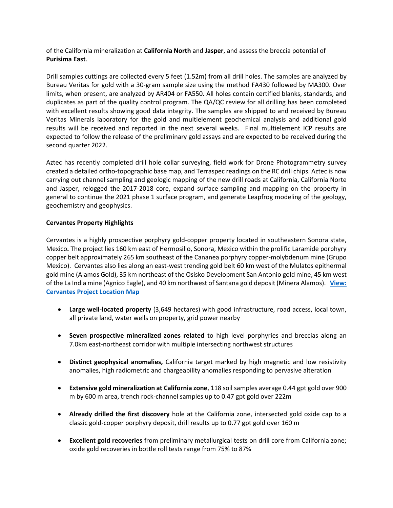of the California mineralization at **California North** and **Jasper**, and assess the breccia potential of **Purisima East**.

Drill samples cuttings are collected every 5 feet (1.52m) from all drill holes. The samples are analyzed by Bureau Veritas for gold with a 30-gram sample size using the method FA430 followed by MA300. Over limits, when present, are analyzed by AR404 or FA550. All holes contain certified blanks, standards, and duplicates as part of the quality control program. The QA/QC review for all drilling has been completed with excellent results showing good data integrity. The samples are shipped to and received by Bureau Veritas Minerals laboratory for the gold and multielement geochemical analysis and additional gold results will be received and reported in the next several weeks. Final multielement ICP results are expected to follow the release of the preliminary gold assays and are expected to be received during the second quarter 2022.

Aztec has recently completed drill hole collar surveying, field work for Drone Photogrammetry survey created a detailed ortho-topographic base map, and Terraspec readings on the RC drill chips. Aztec is now carrying out channel sampling and geologic mapping of the new drill roads at California, California Norte and Jasper, relogged the 2017-2018 core, expand surface sampling and mapping on the property in general to continue the 2021 phase 1 surface program, and generate Leapfrog modeling of the geology, geochemistry and geophysics.

### **Cervantes Property Highlights**

Cervantes is a highly prospective porphyry gold-copper property located in southeastern Sonora state, Mexico**.** The project lies 160 km east of Hermosillo, Sonora, Mexico within the prolific Laramide porphyry copper belt approximately 265 km southeast of the Cananea porphyry copper-molybdenum mine (Grupo Mexico). Cervantes also lies along an east-west trending gold belt 60 km west of the Mulatos epithermal gold mine (Alamos Gold), 35 km northeast of the Osisko Development San Antonio gold mine, 45 km west of the La India mine (Agnico Eagle), and 40 km northwest of Santana gold deposit (Minera Alamos). **[View:](http://www.aztecminerals.com/_resources/news/Loc-Map.jpg)  [Cervantes Project Location Map](http://www.aztecminerals.com/_resources/news/Loc-Map.jpg)**

- **Large well-located property** (3,649 hectares) with good infrastructure, road access, local town, all private land, water wells on property, grid power nearby
- **Seven prospective mineralized zones related** to high level porphyries and breccias along an 7.0km east-northeast corridor with multiple intersecting northwest structures
- **Distinct geophysical anomalies,** California target marked by high magnetic and low resistivity anomalies, high radiometric and chargeability anomalies responding to pervasive alteration
- **Extensive gold mineralization at California zone**, 118 soil samples average 0.44 gpt gold over 900 m by 600 m area, trench rock-channel samples up to 0.47 gpt gold over 222m
- **Already drilled the first discovery** hole at the California zone, intersected gold oxide cap to a classic gold-copper porphyry deposit, drill results up to 0.77 gpt gold over 160 m
- **Excellent gold recoveries** from preliminary metallurgical tests on drill core from California zone; oxide gold recoveries in bottle roll tests range from 75% to 87%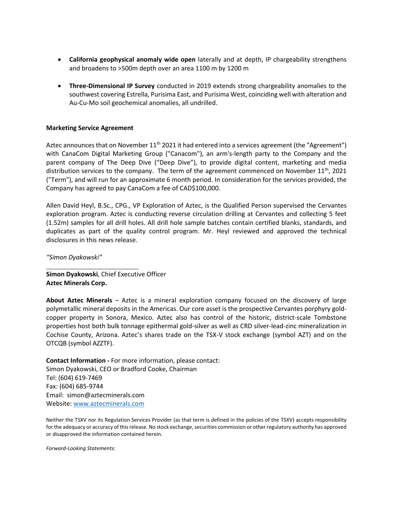- **California geophysical anomaly wide open** laterally and at depth, IP chargeability strengthens and broadens to >500m depth over an area 1100 m by 1200 m
- **Three-Dimensional IP Survey** conducted in 2019 extends strong chargeability anomalies to the southwest covering Estrella, Purisima East, and Purisima West, coinciding well with alteration and Au-Cu-Mo soil geochemical anomalies, all undrilled.

#### **Marketing Service Agreement**

Aztec announces that on November 11<sup>th</sup> 2021 it had entered into a services agreement (the "Agreement") with CanaCom Digital Marketing Group ("Canacom"), an arm's-length party to the Company and the parent company of The Deep Dive ("Deep Dive"), to provide digital content, marketing and media distribution services to the company. The term of the agreement commenced on November  $11<sup>th</sup>$ , 2021 ("Term"), and will run for an approximate 6 month period. In consideration for the services provided, the Company has agreed to pay CanaCom a fee of CAD\$100,000.

Allen David Heyl, B.Sc., CPG., VP Exploration of Aztec, is the Qualified Person supervised the Cervantes exploration program. Aztec is conducting reverse circulation drilling at Cervantes and collecting 5 feet (1.52m) samples for all drill holes. All drill hole sample batches contain certified blanks, standards, and duplicates as part of the quality control program. Mr. Heyl reviewed and approved the technical disclosures in this news release.

#### *"Simon Dyakowski"*

**Simon Dyakowski**, Chief Executive Officer **Aztec Minerals Corp.**

**About Aztec Minerals** – Aztec is a mineral exploration company focused on the discovery of large polymetallic mineral deposits in the Americas. Our core asset is the prospective Cervantes porphyry goldcopper property in Sonora, Mexico. Aztec also has control of the historic, district-scale Tombstone properties host both bulk tonnage epithermal gold-silver as well as CRD silver-lead-zinc mineralization in Cochise County, Arizona. Aztec's shares trade on the TSX-V stock exchange (symbol AZT) and on the OTCQB (symbol AZZTF).

**Contact Information -** For more information, please contact: Simon Dyakowski, CEO or Bradford Cooke, Chairman Tel: (604) 619-7469 Fax: (604) 685-9744 Email: simon@aztecminerals.com Website[: www.aztecminerals.com](http://www.aztecminerals.com/)

Neither the TSXV nor its Regulation Services Provider (as that term is defined in the policies of the TSXV) accepts responsibility for the adequacy or accuracy of this release. No stock exchange, securities commission or other regulatory authority has approved or disapproved the information contained herein.

*Forward-Looking Statements:*